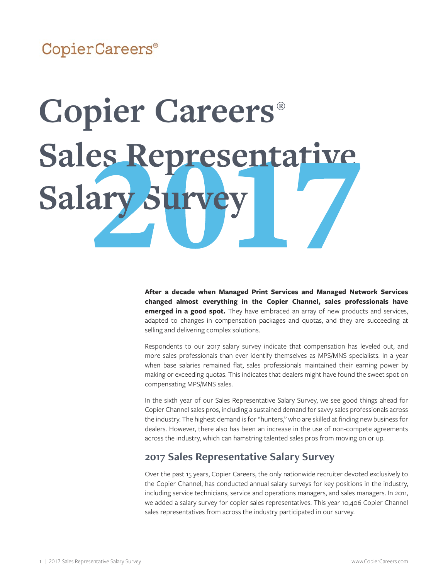### CopierCareers®

# **Copier Careers®** Sales Representative **Salary St**

**After a decade when Managed Print Services and Managed Network Services changed almost everything in the Copier Channel, sales professionals have emerged in a good spot.** They have embraced an array of new products and services, adapted to changes in compensation packages and quotas, and they are succeeding at selling and delivering complex solutions.

Respondents to our 2017 salary survey indicate that compensation has leveled out, and more sales professionals than ever identify themselves as MPS/MNS specialists. In a year when base salaries remained flat, sales professionals maintained their earning power by making or exceeding quotas. This indicates that dealers might have found the sweet spot on compensating MPS/MNS sales.

In the sixth year of our Sales Representative Salary Survey, we see good things ahead for Copier Channel sales pros, including a sustained demand for savvy sales professionals across the industry. The highest demand is for "hunters," who are skilled at finding new business for dealers. However, there also has been an increase in the use of non-compete agreements across the industry, which can hamstring talented sales pros from moving on or up.

#### **2017 Sales Representative Salary Survey**

Over the past 15 years, Copier Careers, the only nationwide recruiter devoted exclusively to the Copier Channel, has conducted annual salary surveys for key positions in the industry, including service technicians, service and operations managers, and sales managers. In 2011, we added a salary survey for copier sales representatives. This year 10,406 Copier Channel sales representatives from across the industry participated in our survey.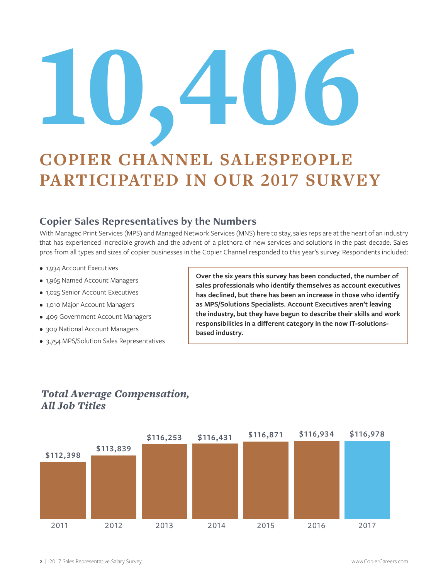# 10,406

# **COPIER CHANNEL SALESPEOPLE PARTICIPATED IN OUR 2017 SURVEY**

#### **Copier Sales Representatives by the Numbers**

With Managed Print Services (MPS) and Managed Network Services (MNS) here to stay, sales reps are at the heart of an industry that has experienced incredible growth and the advent of a plethora of new services and solutions in the past decade. Sales pros from all types and sizes of copier businesses in the Copier Channel responded to this year's survey. Respondents included:

- 1,934 Account Executives
- 1,965 Named Account Managers
- 1,025 Senior Account Executives
- 1,010 Major Account Managers
- 409 Government Account Managers
- 309 National Account Managers
- 3,754 MPS/Solution Sales Representatives

**Over the six years this survey has been conducted, the number of sales professionals who identify themselves as account executives has declined, but there has been an increase in those who identify as MPS/Solutions Specialists. Account Executives aren't leaving the industry, but they have begun to describe their skills and work responsibilities in a different category in the now IT-solutionsbased industry.** 



2011 2012 2013 2014 2015 2016 2017

#### *Total Average Compensation, All Job Titles*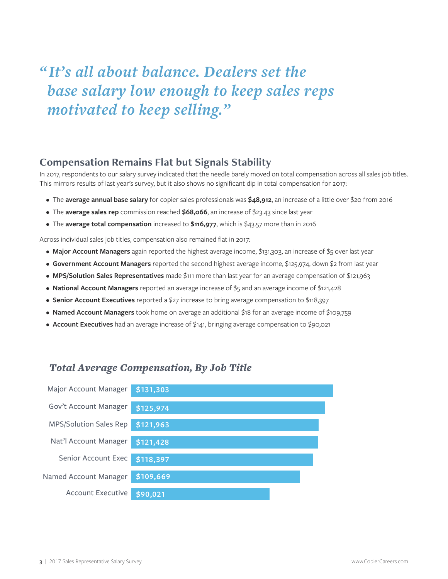# *" It's all about balance. Dealers set the base salary low enough to keep sales reps motivated to keep selling."*

#### **Compensation Remains Flat but Signals Stability**

In 2017, respondents to our salary survey indicated that the needle barely moved on total compensation across all sales job titles. This mirrors results of last year's survey, but it also shows no significant dip in total compensation for 2017:

- The **average annual base salary** for copier sales professionals was **\$48,912**, an increase of a little over \$20 from 2016
- The **average sales rep** commission reached **\$68,066**, an increase of \$23.43 since last year
- The **average total compensation** increased to **\$116,977**, which is \$43.57 more than in 2016

Across individual sales job titles, compensation also remained flat in 2017:

- **Major Account Managers** again reported the highest average income, \$131,303, an increase of \$5 over last year
- **Government Account Managers** reported the second highest average income, \$125,974, down \$2 from last year
- **MPS/Solution Sales Representatives** made \$111 more than last year for an average compensation of \$121,963
- **National Account Managers** reported an average increase of \$5 and an average income of \$121,428
- **Senior Account Executives** reported a \$27 increase to bring average compensation to \$118,397
- **Named Account Managers** took home on average an additional \$18 for an average income of \$109,759
- **Account Executives** had an average increase of \$141, bringing average compensation to \$90,021

#### *Total Average Compensation, By Job Title*

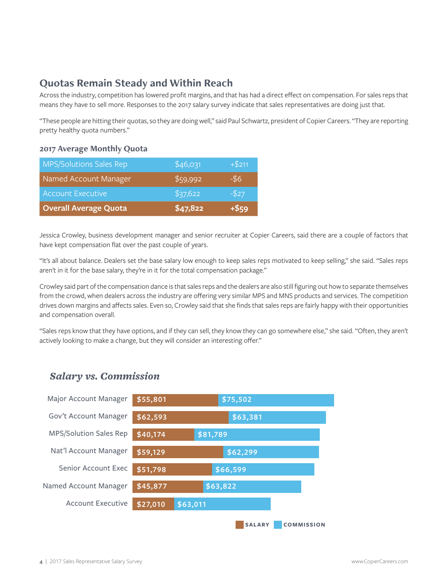#### **Quotas Remain Steady and Within Reach**

Across the industry, competition has lowered profit margins, and that has had a direct effect on compensation. For sales reps that means they have to sell more. Responses to the 2017 salary survey indicate that sales representatives are doing just that.

"These people are hitting their quotas, so they are doing well," said Paul Schwartz, president of Copier Careers. "They are reporting pretty healthy quota numbers."

#### **2017 Average Monthly Quota**

| <b>MPS/Solutions Sales Rep</b> | \$46,031 | $+ $211$ |
|--------------------------------|----------|----------|
| Named Account Manager          | \$59,992 | $-56$    |
| <b>Account Executive</b>       | \$37,622 | $-527$   |
| <b>Overall Average Quota</b>   | \$47,822 | $+ $59$  |

Jessica Crowley, business development manager and senior recruiter at Copier Careers, said there are a couple of factors that have kept compensation flat over the past couple of years.

"It's all about balance. Dealers set the base salary low enough to keep sales reps motivated to keep selling," she said. "Sales reps aren't in it for the base salary, they're in it for the total compensation package."

Crowley said part of the compensation dance is that sales reps and the dealers are also still figuring out how to separate themselves from the crowd, when dealers across the industry are offering very similar MPS and MNS products and services. The competition drives down margins and affects sales. Even so, Crowley said that she finds that sales reps are fairly happy with their opportunities and compensation overall.

"Sales reps know that they have options, and if they can sell, they know they can go somewhere else," she said. "Often, they aren't actively looking to make a change, but they will consider an interesting offer."

#### *Salary vs. Commission*

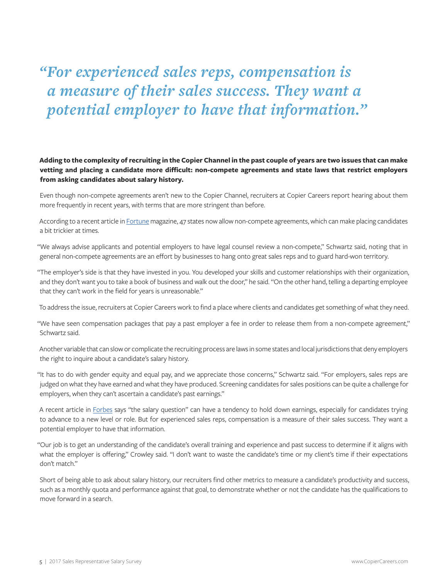*"For experienced sales reps, compensation is a measure of their sales success. They want a potential employer to have that information."* 

**Adding to the complexity of recruiting in the Copier Channel in the past couple of years are two issues that can make vetting and placing a candidate more difficult: non-compete agreements and state laws that restrict employers from asking candidates about salary history.** 

Even though non-compete agreements aren't new to the Copier Channel, recruiters at Copier Careers report hearing about them more frequently in recent years, with terms that are more stringent than before.

According to a recent article in [Fortune](http://fortune.com/2016/05/25/non-compete-agreements-are-bad/) magazine, 47 states now allow non-compete agreements, which can make placing candidates a bit trickier at times.

"We always advise applicants and potential employers to have legal counsel review a non-compete," Schwartz said, noting that in general non-compete agreements are an effort by businesses to hang onto great sales reps and to guard hard-won territory.

"The employer's side is that they have invested in you. You developed your skills and customer relationships with their organization, and they don't want you to take a book of business and walk out the door," he said. "On the other hand, telling a departing employee that they can't work in the field for years is unreasonable."

To address the issue, recruiters at Copier Careers work to find a place where clients and candidates get something of what they need.

"We have seen compensation packages that pay a past employer a fee in order to release them from a non-compete agreement," Schwartz said.

Another variable that can slow or complicate the recruiting process are laws in some states and local jurisdictions that deny employers the right to inquire about a candidate's salary history.

"It has to do with gender equity and equal pay, and we appreciate those concerns," Schwartz said. "For employers, sales reps are judged on what they have earned and what they have produced. Screening candidates for sales positions can be quite a challenge for employers, when they can't ascertain a candidate's past earnings."

A recent article in [Forbes](https://www.forbes.com/sites/reneemorad/2017/07/31/job-interview-will-the-salary-history-question-become-extinct/#672af24827dd) says "the salary question" can have a tendency to hold down earnings, especially for candidates trying to advance to a new level or role. But for experienced sales reps, compensation is a measure of their sales success. They want a potential employer to have that information.

"Our job is to get an understanding of the candidate's overall training and experience and past success to determine if it aligns with what the employer is offering," Crowley said. "I don't want to waste the candidate's time or my client's time if their expectations don't match."

Short of being able to ask about salary history, our recruiters find other metrics to measure a candidate's productivity and success, such as a monthly quota and performance against that goal, to demonstrate whether or not the candidate has the qualifications to move forward in a search.